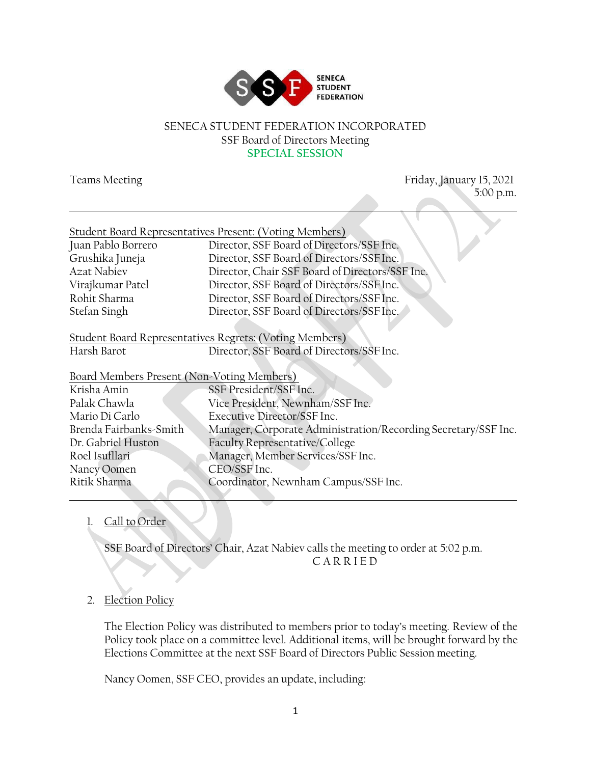

### SENECA STUDENT FEDERATION INCORPORATED SSF Board of Directors Meeting **SPECIAL SESSION**

| <b>Teams Meeting</b>                       | Friday, January 15, 2021                                       |
|--------------------------------------------|----------------------------------------------------------------|
|                                            | 5:00 p.m.                                                      |
|                                            |                                                                |
|                                            |                                                                |
|                                            | <b>Student Board Representatives Present: (Voting Members)</b> |
| Juan Pablo Borrero                         | Director, SSF Board of Directors/SSF Inc.                      |
| Grushika Juneja                            | Director, SSF Board of Directors/SSF Inc.                      |
| <b>Azat Nabiev</b>                         | Director, Chair SSF Board of Directors/SSF Inc.                |
| Virajkumar Patel                           | Director, SSF Board of Directors/SSF Inc.                      |
| Rohit Sharma                               | Director, SSF Board of Directors/SSF Inc.                      |
| Stefan Singh                               | Director, SSF Board of Directors/SSF Inc.                      |
|                                            | <b>Student Board Representatives Regrets: (Voting Members)</b> |
| Harsh Barot                                | Director, SSF Board of Directors/SSF Inc.                      |
| Board Members Present (Non-Voting Members) |                                                                |
| Krisha Amin                                | SSF President/SSF Inc.                                         |
| Palak Chawla                               | Vice President, Newnham/SSF Inc.                               |
| Mario Di Carlo                             | Executive Director/SSF Inc.                                    |
| Brenda Fairbanks-Smith                     | Manager, Corporate Administration/Recording Secretary/SSF Inc. |
| Dr. Gabriel Huston                         | Faculty Representative/College                                 |
| Roel Isufllari                             | Manager, Member Services/SSF Inc.                              |
| Nancy Oomen                                | CEO/SSF Inc.                                                   |
| Ritik Sharma                               | Coordinator, Newnham Campus/SSF Inc.                           |

## 1. Call to Order

SSF Board of Directors' Chair, Azat Nabiev calls the meeting to order at 5:02 p.m. C A R R I E D

## 2. Election Policy

The Election Policy was distributed to members prior to today's meeting. Review of the Policy took place on a committee level. Additional items, will be brought forward by the Elections Committee at the next SSF Board of Directors Public Session meeting.

Nancy Oomen, SSF CEO, provides an update, including: